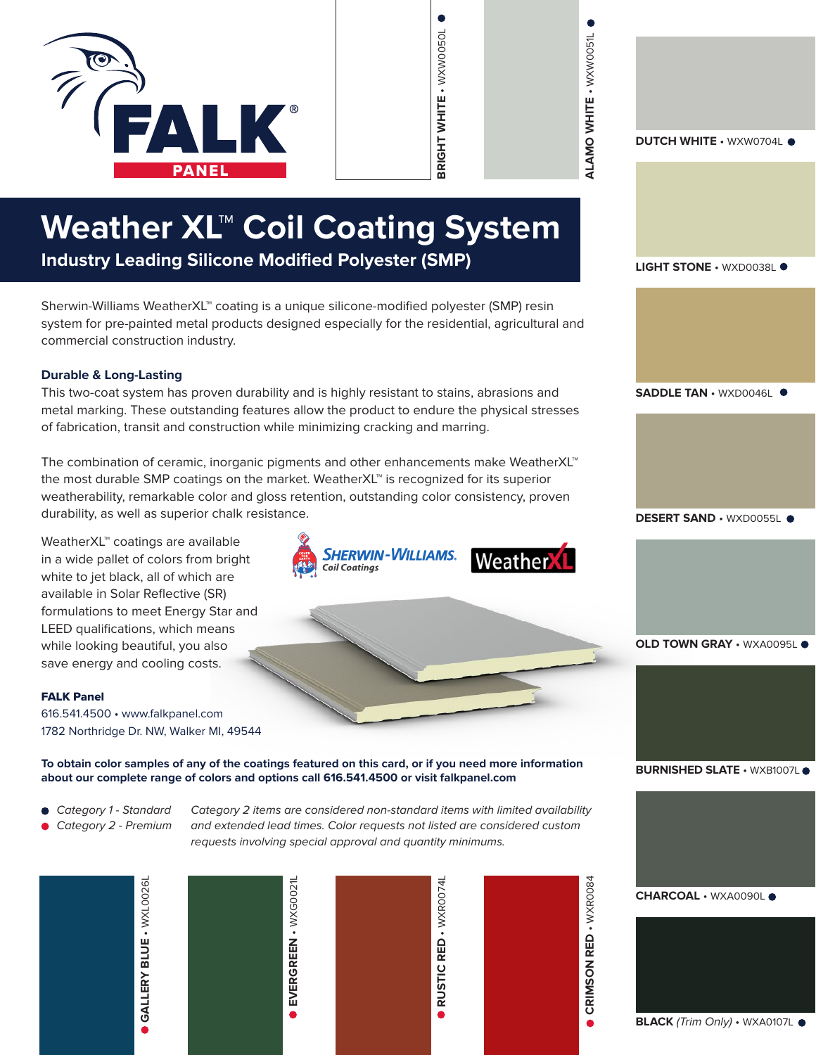

| Weather $\mathsf{XL}^{\mathsf{\tiny{T}}\mathsf{\tiny{M}}}$ Coil Coating System |  |
|--------------------------------------------------------------------------------|--|
|--------------------------------------------------------------------------------|--|

**Industry Leading Silicone Modified Polyester (SMP)**

Sherwin-Williams WeatherXL™ coating is a unique silicone-modified polyester (SMP) resin system for pre-painted metal products designed especially for the residential, agricultural and commercial construction industry.

#### **Durable & Long-Lasting**

This two-coat system has proven durability and is highly resistant to stains, abrasions and metal marking. These outstanding features allow the product to endure the physical stresses of fabrication, transit and construction while minimizing cracking and marring.

The combination of ceramic, inorganic pigments and other enhancements make WeatherXL™ the most durable SMP coatings on the market. WeatherXL™ is recognized for its superior weatherability, remarkable color and gloss retention, outstanding color consistency, proven durability, as well as superior chalk resistance.

WeatherXL™ coatings are available in a wide pallet of colors from bright white to jet black, all of which are available in Solar Reflective (SR) formulations to meet Energy Star and LEED qualifications, which means while looking beautiful, you also save energy and cooling costs.

#### FALK Panel

616.541.4500 • www.falkpanel.com 1782 Northridge Dr. NW, Walker MI, 49544

Sherwin-Williams. Weather **Coil Coatings** 

**BRIGHT WHITE** • WXW0050L

BRIGHT WHITE - WXW0050L



**To obtain color samples of any of the coatings featured on this card, or if you need more information about our complete range of colors and options call 616.541.4500 or visit falkpanel.com**

- *Category 1 Standard*
- *Category 2 Premium*

*Category 2 items are considered non-standard items with limited availability and extended lead times. Color requests not listed are considered custom requests involving special approval and quantity minimums.*



|  | <b>EVERGREEN - WXG0021L</b> |
|--|-----------------------------|
|--|-----------------------------|



**CRIMSON RED - WXR0084 CRIMSON RED** • WXR0084 **DUTCH WHITE** • WXW0704L

**ALAMO WHITE** • WXW0051L

ALAMO WHITE - WXW0051L

**LIGHT STONE** • WXD0038L

**SADDLE TAN** • WXD0046L

**DESERT SAND • WXD0055L ·** 

**OLD TOWN GRAY · WXA0095L ·** 

**BURNISHED SLATE · WXB1007L ·** 

**CHARCOAL** • WXA0090L

**BLACK** *(Trim Only)* • WXA0107L